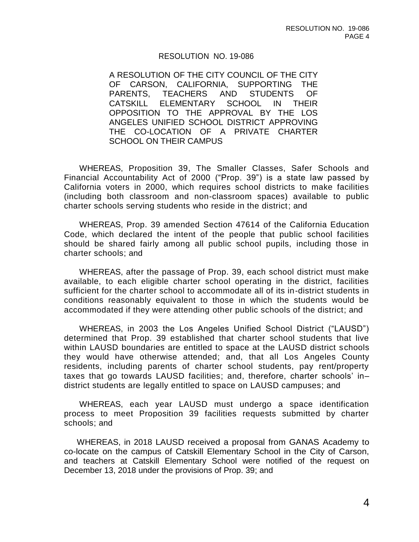## RESOLUTION NO. 19-086

A RESOLUTION OF THE CITY COUNCIL OF THE CITY OF CARSON, CALIFORNIA, SUPPORTING THE PARENTS, TEACHERS AND STUDENTS OF CATSKILL ELEMENTARY SCHOOL IN THEIR OPPOSITION TO THE APPROVAL BY THE LOS ANGELES UNIFIED SCHOOL DISTRICT APPROVING THE CO-LOCATION OF A PRIVATE CHARTER SCHOOL ON THEIR CAMPUS

WHEREAS, Proposition 39, The Smaller Classes, Safer Schools and Financial Accountability Act of 2000 ("Prop. 39") is a state law passed by California voters in 2000, which requires school districts to make facilities (including both classroom and non-classroom spaces) available to public charter schools serving students who reside in the district; and

WHEREAS, Prop. 39 amended Section 47614 of the California Education Code, which declared the intent of the people that public school facilities should be shared fairly among all public school pupils, including those in charter schools; and

WHEREAS, after the passage of Prop. 39, each school district must make available, to each eligible charter school operating in the district, facilities sufficient for the charter school to accommodate all of its in-district students in conditions reasonably equivalent to those in which the students would be accommodated if they were attending other public schools of the district; and

WHEREAS, in 2003 the Los Angeles Unified School District ("LAUSD") determined that Prop. 39 established that charter school students that live within LAUSD boundaries are entitled to space at the LAUSD district schools they would have otherwise attended; and, that all Los Angeles County residents, including parents of charter school students, pay rent/property taxes that go towards LAUSD facilities; and, therefore, charter schools' in– district students are legally entitled to space on LAUSD campuses; and

WHEREAS, each year LAUSD must undergo a space identification process to meet Proposition 39 facilities requests submitted by charter schools; and

WHEREAS, in 2018 LAUSD received a proposal from GANAS Academy to co-locate on the campus of Catskill Elementary School in the City of Carson, and teachers at Catskill Elementary School were notified of the request on December 13, 2018 under the provisions of Prop. 39; and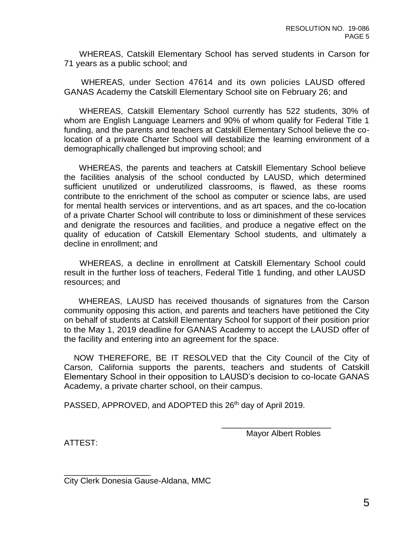WHEREAS, Catskill Elementary School has served students in Carson for 71 years as a public school; and

WHEREAS, under Section 47614 and its own policies LAUSD offered GANAS Academy the Catskill Elementary School site on February 26; and

WHEREAS, Catskill Elementary School currently has 522 students, 30% of whom are English Language Learners and 90% of whom qualify for Federal Title 1 funding, and the parents and teachers at Catskill Elementary School believe the colocation of a private Charter School will destabilize the learning environment of a demographically challenged but improving school; and

WHEREAS, the parents and teachers at Catskill Elementary School believe the facilities analysis of the school conducted by LAUSD, which determined sufficient unutilized or underutilized classrooms, is flawed, as these rooms contribute to the enrichment of the school as computer or science labs, are used for mental health services or interventions, and as art spaces, and the co-location of a private Charter School will contribute to loss or diminishment of these services and denigrate the resources and facilities, and produce a negative effect on the quality of education of Catskill Elementary School students, and ultimately a decline in enrollment; and

WHEREAS, a decline in enrollment at Catskill Elementary School could result in the further loss of teachers, Federal Title 1 funding, and other LAUSD resources; and

WHEREAS, LAUSD has received thousands of signatures from the Carson community opposing this action, and parents and teachers have petitioned the City on behalf of students at Catskill Elementary School for support of their position prior to the May 1, 2019 deadline for GANAS Academy to accept the LAUSD offer of the facility and entering into an agreement for the space.

NOW THEREFORE, BE IT RESOLVED that the City Council of the City of Carson, California supports the parents, teachers and students of Catskill Elementary School in their opposition to LAUSD's decision to co-locate GANAS Academy, a private charter school, on their campus.

PASSED, APPROVED, and ADOPTED this 26<sup>th</sup> day of April 2019.

Mayor Albert Robles

\_\_\_\_\_\_\_\_\_\_\_\_\_\_\_\_\_\_\_\_\_\_\_\_

ATTEST:

\_\_\_\_\_\_\_\_\_\_\_\_\_\_\_\_\_\_\_

City Clerk Donesia Gause-Aldana, MMC